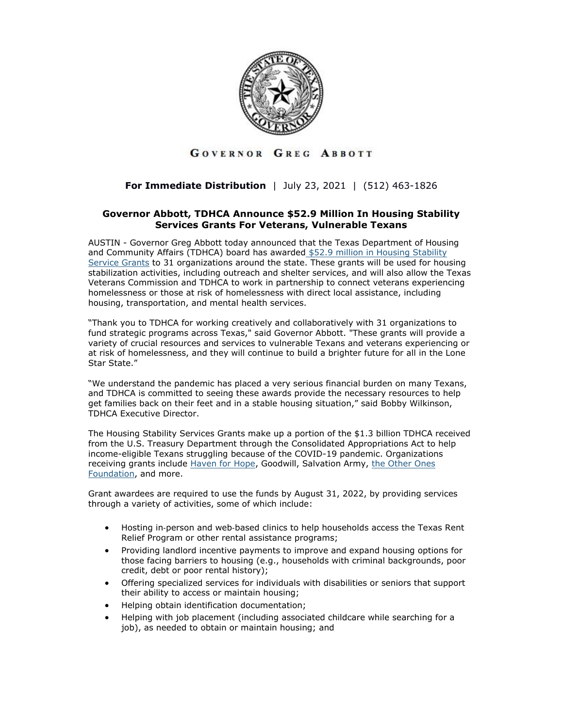

## GOVERNOR GREG ABBOTT

## **For Immediate Distribution** | July 23, 2021 | (512) 463-1826

## **Governor Abbott, TDHCA Announce \$52.9 Million In Housing Stability Services Grants For Veterans, Vulnerable Texans**

AUSTIN - Governor Greg Abbott today announced that the Texas Department of Housing and Community Affairs (TDHCA) board has awarded \$52.9 million in Housing Stability [Service Grants](https://gov.texas.gov/uploads/files/press/AwardListFinal.pdf) to 31 organizations around the state. These grants will be used for housing stabilization activities, including outreach and shelter services, and will also allow the Texas Veterans Commission and TDHCA to work in partnership to connect veterans experiencing homelessness or those at risk of homelessness with direct local assistance, including housing, transportation, and mental health services.

"Thank you to TDHCA for working creatively and collaboratively with 31 organizations to fund strategic programs across Texas," said Governor Abbott. "These grants will provide a variety of crucial resources and services to vulnerable Texans and veterans experiencing or at risk of homelessness, and they will continue to build a brighter future for all in the Lone Star State."

"We understand the pandemic has placed a very serious financial burden on many Texans, and TDHCA is committed to seeing these awards provide the necessary resources to help get families back on their feet and in a stable housing situation," said Bobby Wilkinson, TDHCA Executive Director.

The Housing Stability Services Grants make up a portion of the \$1.3 billion TDHCA received from the U.S. Treasury Department through the Consolidated Appropriations Act to help income-eligible Texans struggling because of the COVID-19 pandemic. Organizations receiving grants include [Haven for Hope,](https://www.havenforhope.org/) Goodwill, Salvation Army, the Other Ones [Foundation,](https://toofound.org/) and more.

Grant awardees are required to use the funds by August 31, 2022, by providing services through a variety of activities, some of which include:

- Hosting in‐person and web‐based clinics to help households access the Texas Rent Relief Program or other rental assistance programs;
- Providing landlord incentive payments to improve and expand housing options for those facing barriers to housing (e.g., households with criminal backgrounds, poor credit, debt or poor rental history);
- Offering specialized services for individuals with disabilities or seniors that support their ability to access or maintain housing;
- Helping obtain identification documentation;
- Helping with job placement (including associated childcare while searching for a job), as needed to obtain or maintain housing; and